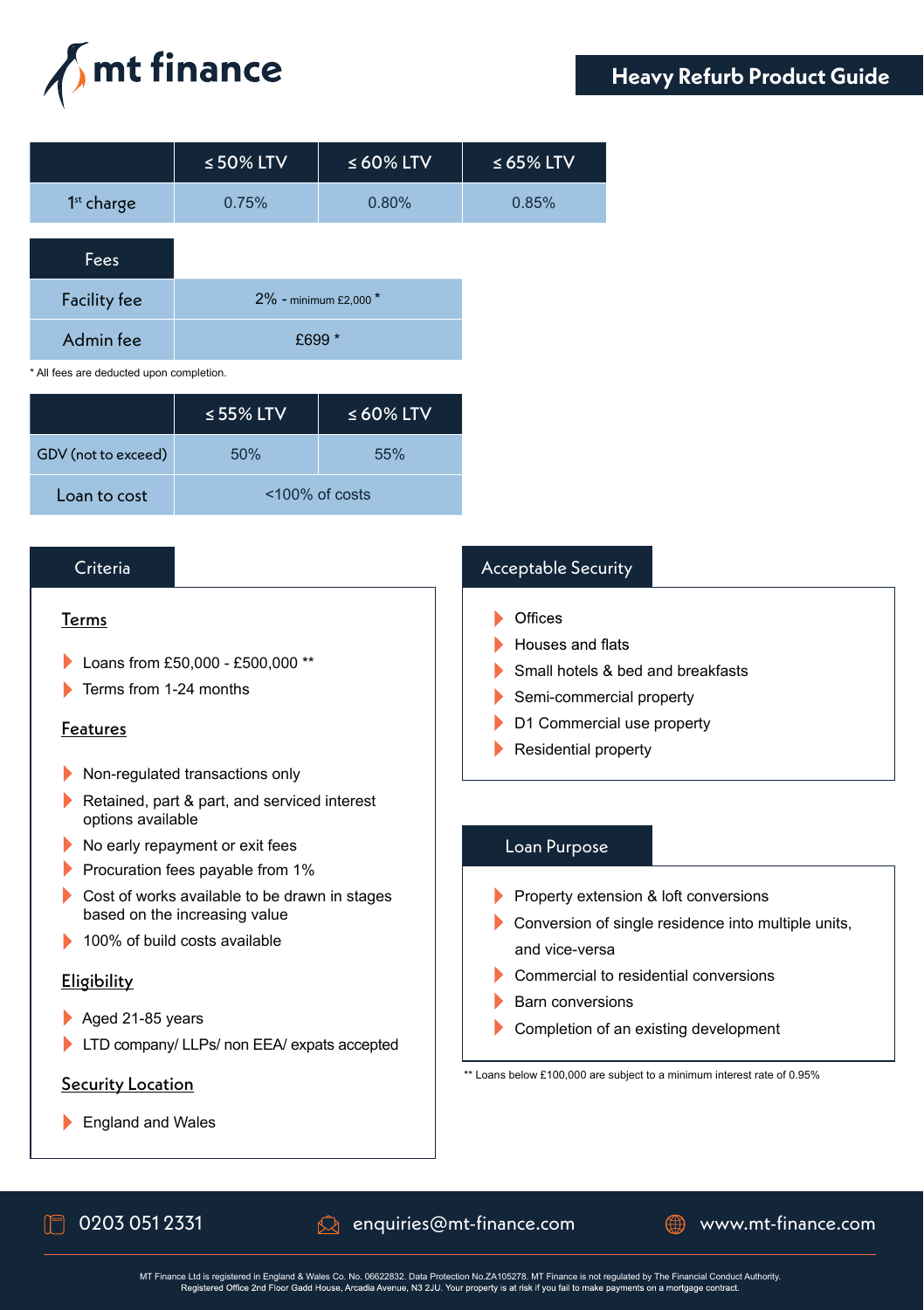

|                     | $\leq$ 50% LTV        | $\leq 60\%$ LTV | $\leq 65\%$ LTV |
|---------------------|-----------------------|-----------------|-----------------|
| $1st$ charge        | 0.75%                 | 0.80%           | 0.85%           |
| Fees                |                       |                 |                 |
| <b>Facility fee</b> | 2% - minimum £2,000 * |                 |                 |

\* All fees are deducted upon completion.

|                     | $\le$ 55% LTV     | $\leq 60\%$ LTV |
|---------------------|-------------------|-----------------|
| GDV (not to exceed) | 50%               | 55%             |
| Loan to cost        | $<$ 100% of costs |                 |

Admin fee  $£699*$ 

### Criteria

#### Terms

- Loans from £50,000 £500,000 \*\*
- **Terms from 1-24 months**

### Features

- Non-regulated transactions only
- Retained, part & part, and serviced interest options available
- No early repayment or exit fees
- **Procuration fees payable from 1%**
- Cost of works available to be drawn in stages based on the increasing value
- ▶ 100% of build costs available

### Eligibility

- Aged 21-85 years
- LTD company/ LLPs/ non EEA/ expats accepted

### Security Location

England and Wales

## Acceptable Security

- $\triangleright$  Offices
- Houses and flats
- Small hotels & bed and breakfasts
- Semi-commercial property
- D1 Commercial use property
- Residential property

## Loan Purpose

- Property extension & loft conversions
- Conversion of single residence into multiple units, and vice-versa
- Commercial to residential conversions
- Barn conversions
- Completion of an existing development

\*\* Loans below £100,000 are subject to a minimum interest rate of 0.95%

 $\Box$  0203 051 2331  $\Box$  enquiries@mt-finance.com  $\Box$  www.mt-finance.com

MT Finance Ltd is registered in England & Wales Co. No. 06622832. Data Protection No. ZA105278. MT Finance is not regulated by The Financial Conduct Authority.<br>Registered Office 2nd Floor Gadd House, Arcadia Avenue, N3 2JU